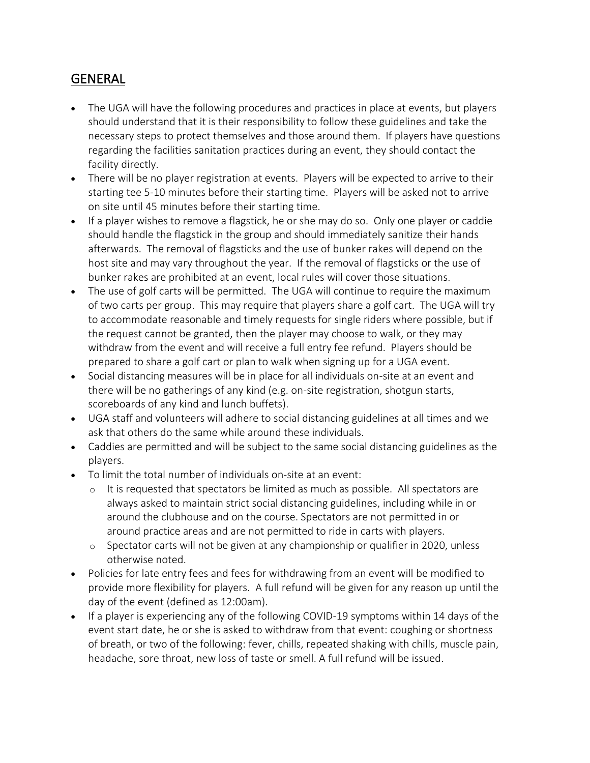## GENERAL

- The UGA will have the following procedures and practices in place at events, but players should understand that it is their responsibility to follow these guidelines and take the necessary steps to protect themselves and those around them. If players have questions regarding the facilities sanitation practices during an event, they should contact the facility directly.
- There will be no player registration at events. Players will be expected to arrive to their starting tee 5-10 minutes before their starting time. Players will be asked not to arrive on site until 45 minutes before their starting time.
- If a player wishes to remove a flagstick, he or she may do so. Only one player or caddie should handle the flagstick in the group and should immediately sanitize their hands afterwards. The removal of flagsticks and the use of bunker rakes will depend on the host site and may vary throughout the year. If the removal of flagsticks or the use of bunker rakes are prohibited at an event, local rules will cover those situations.
- The use of golf carts will be permitted. The UGA will continue to require the maximum of two carts per group. This may require that players share a golf cart. The UGA will try to accommodate reasonable and timely requests for single riders where possible, but if the request cannot be granted, then the player may choose to walk, or they may withdraw from the event and will receive a full entry fee refund. Players should be prepared to share a golf cart or plan to walk when signing up for a UGA event.
- Social distancing measures will be in place for all individuals on-site at an event and there will be no gatherings of any kind (e.g. on-site registration, shotgun starts, scoreboards of any kind and lunch buffets).
- UGA staff and volunteers will adhere to social distancing guidelines at all times and we ask that others do the same while around these individuals.
- Caddies are permitted and will be subject to the same social distancing guidelines as the players.
- To limit the total number of individuals on-site at an event:
	- $\circ$  It is requested that spectators be limited as much as possible. All spectators are always asked to maintain strict social distancing guidelines, including while in or around the clubhouse and on the course. Spectators are not permitted in or around practice areas and are not permitted to ride in carts with players.
	- o Spectator carts will not be given at any championship or qualifier in 2020, unless otherwise noted.
- Policies for late entry fees and fees for withdrawing from an event will be modified to provide more flexibility for players. A full refund will be given for any reason up until the day of the event (defined as 12:00am).
- If a player is experiencing any of the following COVID-19 symptoms within 14 days of the event start date, he or she is asked to withdraw from that event: coughing or shortness of breath, or two of the following: fever, chills, repeated shaking with chills, muscle pain, headache, sore throat, new loss of taste or smell. A full refund will be issued.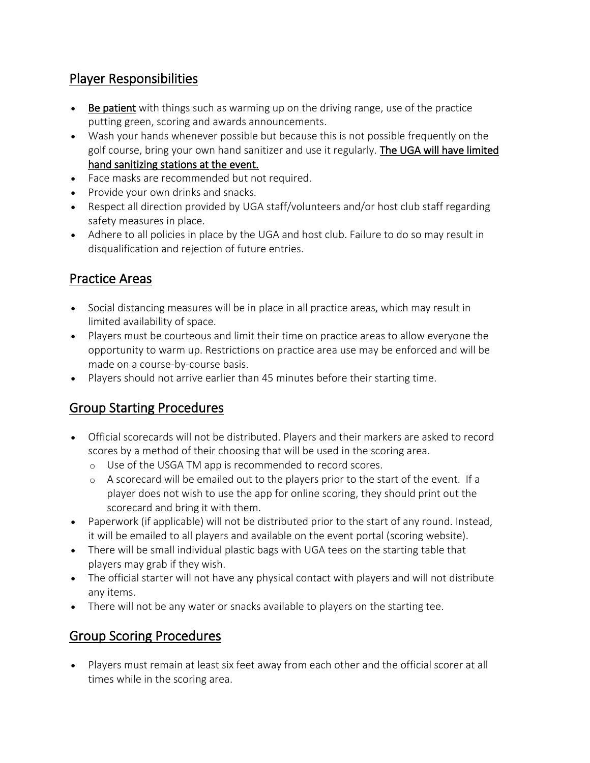### Player Responsibilities

- Be patient with things such as warming up on the driving range, use of the practice putting green, scoring and awards announcements.
- Wash your hands whenever possible but because this is not possible frequently on the golf course, bring your own hand sanitizer and use it regularly. The UGA will have limited hand sanitizing stations at the event.
- Face masks are recommended but not required.
- Provide your own drinks and snacks.
- Respect all direction provided by UGA staff/volunteers and/or host club staff regarding safety measures in place.
- Adhere to all policies in place by the UGA and host club. Failure to do so may result in disqualification and rejection of future entries.

#### Practice Areas

- Social distancing measures will be in place in all practice areas, which may result in limited availability of space.
- Players must be courteous and limit their time on practice areas to allow everyone the opportunity to warm up. Restrictions on practice area use may be enforced and will be made on a course-by-course basis.
- Players should not arrive earlier than 45 minutes before their starting time.

### Group Starting Procedures

- Official scorecards will not be distributed. Players and their markers are asked to record scores by a method of their choosing that will be used in the scoring area.
	- o Use of the USGA TM app is recommended to record scores.
	- $\circ$  A scorecard will be emailed out to the players prior to the start of the event. If a player does not wish to use the app for online scoring, they should print out the scorecard and bring it with them.
- Paperwork (if applicable) will not be distributed prior to the start of any round. Instead, it will be emailed to all players and available on the event portal (scoring website).
- There will be small individual plastic bags with UGA tees on the starting table that players may grab if they wish.
- The official starter will not have any physical contact with players and will not distribute any items.
- There will not be any water or snacks available to players on the starting tee.

#### Group Scoring Procedures

• Players must remain at least six feet away from each other and the official scorer at all times while in the scoring area.